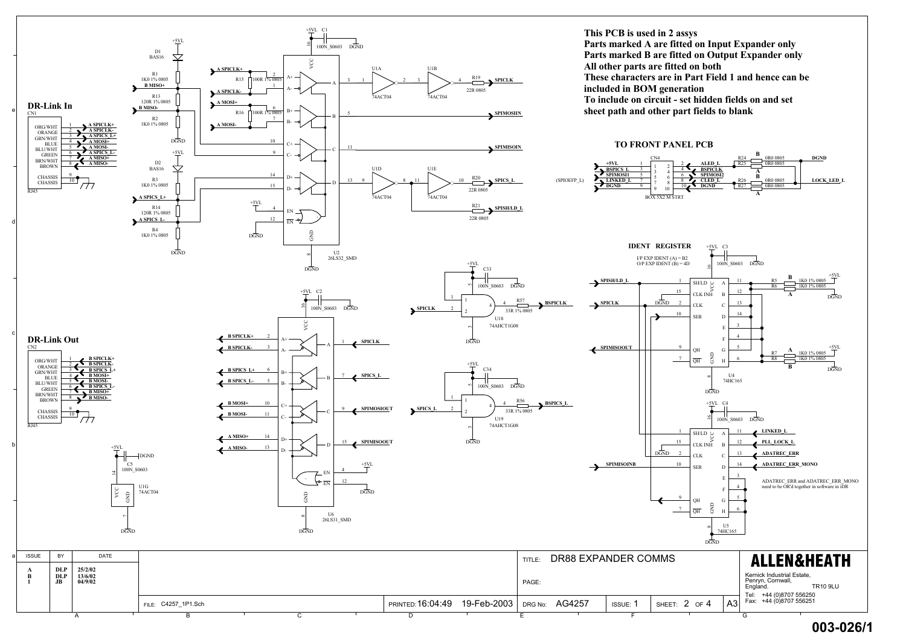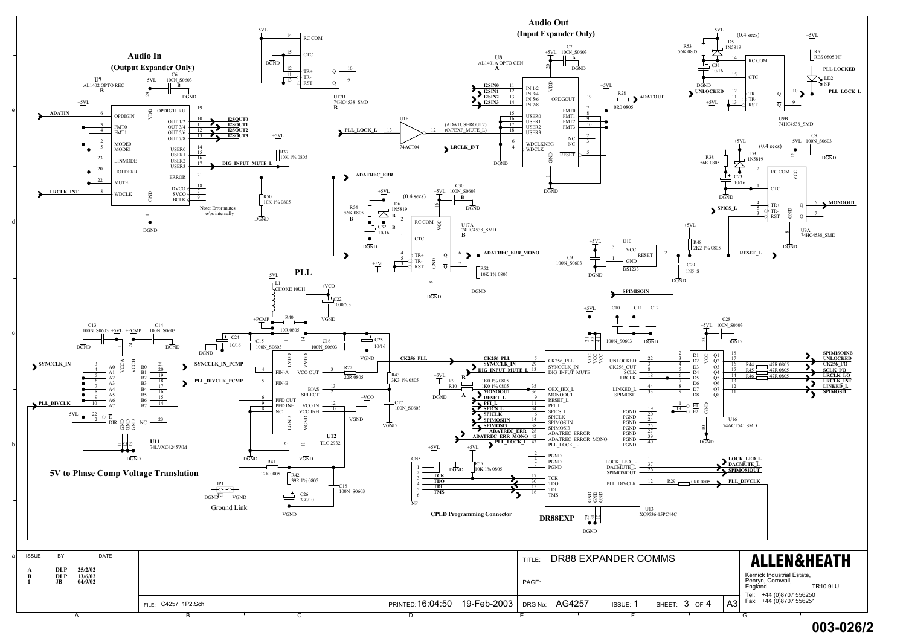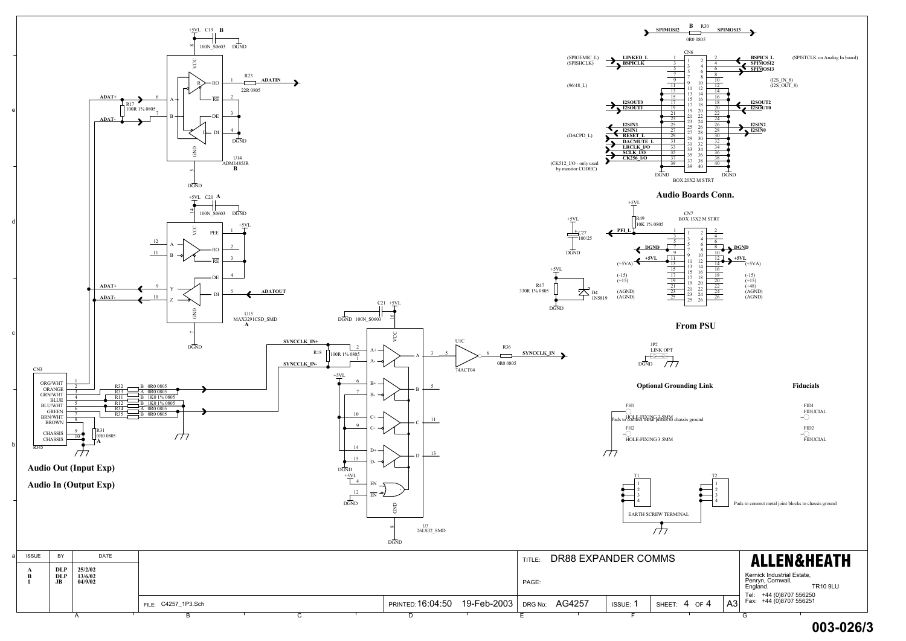

A PRESENTED LAND DE LAND EN LAND GUILLE

## **003-026/3**